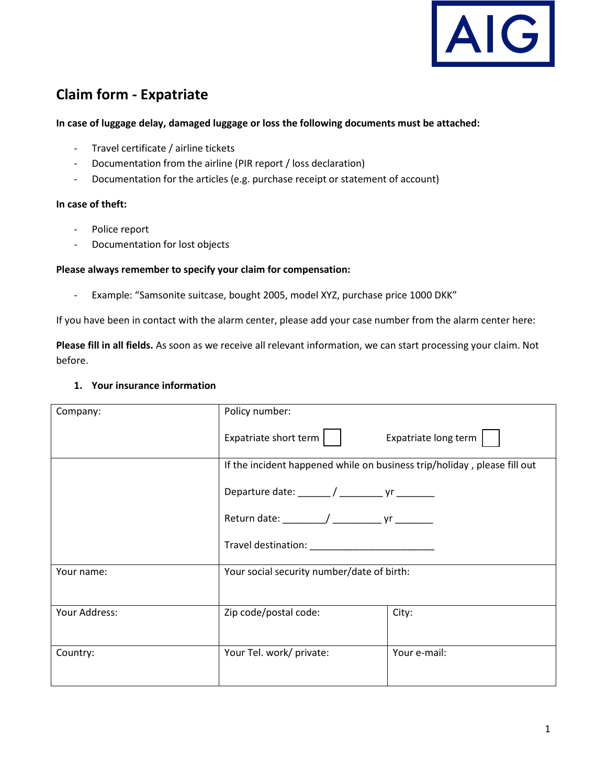

# **Claim form - Expatriate**

#### **In case of luggage delay, damaged luggage or loss the following documents must be attached:**

- Travel certificate / airline tickets
- Documentation from the airline (PIR report / loss declaration)
- Documentation for the articles (e.g. purchase receipt or statement of account)

#### **In case of theft:**

- Police report
- Documentation for lost objects

#### **Please always remember to specify your claim for compensation:**

- Example: "Samsonite suitcase, bought 2005, model XYZ, purchase price 1000 DKK"

If you have been in contact with the alarm center, please add your case number from the alarm center here:

**Please fill in all fields.** As soon as we receive all relevant information, we can start processing your claim. Not before.

#### **1. Your insurance information**

|               | Policy number:                                                                                                                                                                                                                 |                      |  |
|---------------|--------------------------------------------------------------------------------------------------------------------------------------------------------------------------------------------------------------------------------|----------------------|--|
| Company:      |                                                                                                                                                                                                                                |                      |  |
|               | Expatriate short term $\vert \ \ \vert$                                                                                                                                                                                        | Expatriate long term |  |
|               | If the incident happened while on business trip/holiday, please fill out                                                                                                                                                       |                      |  |
|               | Departure date: ______/ __________ yr ________                                                                                                                                                                                 |                      |  |
|               | Return date: ________/ ________________ yr _________                                                                                                                                                                           |                      |  |
|               | Travel destination: National Contract of the Contract of the Contract of the Contract of the Contract of the Contract of the Contract of the Contract of the Contract of the Contract of the Contract of the Contract of the C |                      |  |
| Your name:    | Your social security number/date of birth:                                                                                                                                                                                     |                      |  |
|               |                                                                                                                                                                                                                                |                      |  |
| Your Address: | Zip code/postal code:                                                                                                                                                                                                          | City:                |  |
| Country:      | Your Tel. work/ private:                                                                                                                                                                                                       | Your e-mail:         |  |
|               |                                                                                                                                                                                                                                |                      |  |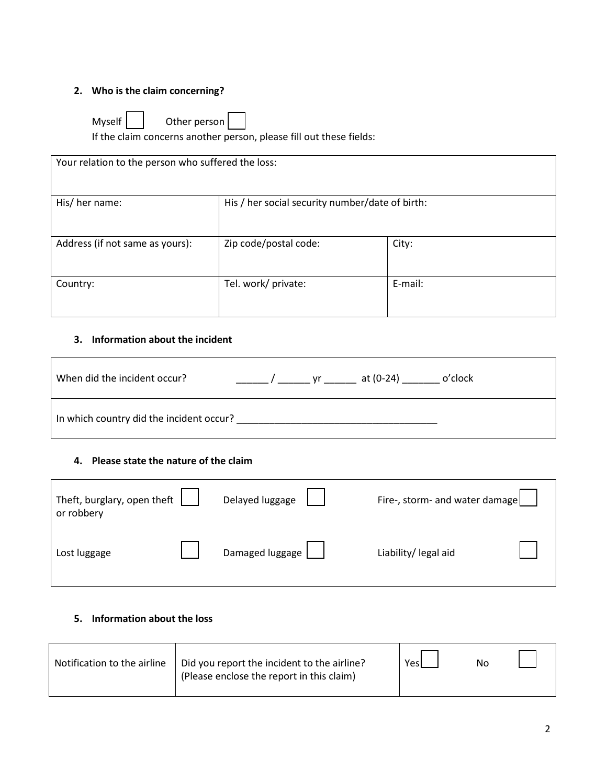# **2. Who is the claim concerning?**

| Myself | Other person |  |
|--------|--------------|--|
|        |              |  |

If the claim concerns another person, please fill out these fields:

| Your relation to the person who suffered the loss: |                                                 |         |
|----------------------------------------------------|-------------------------------------------------|---------|
| His/ her name:                                     | His / her social security number/date of birth: |         |
| Address (if not same as yours):                    | Zip code/postal code:                           | City:   |
| Country:                                           | Tel. work/ private:                             | E-mail: |

### **3. Information about the incident**

| When did the incident occur?             | yr at (0-24)<br>o'clock |
|------------------------------------------|-------------------------|
| In which country did the incident occur? |                         |

#### **4. Please state the nature of the claim**

| Theft, burglary, open theft<br>or robbery | Delayed luggage | Fire-, storm- and water damage |
|-------------------------------------------|-----------------|--------------------------------|
| Lost luggage                              | Damaged luggage | Liability/ legal aid           |

## **5. Information about the loss**

| Notification to the airline | Did you report the incident to the airline?<br>(Please enclose the report in this claim) | Yesi | No |  |
|-----------------------------|------------------------------------------------------------------------------------------|------|----|--|
|-----------------------------|------------------------------------------------------------------------------------------|------|----|--|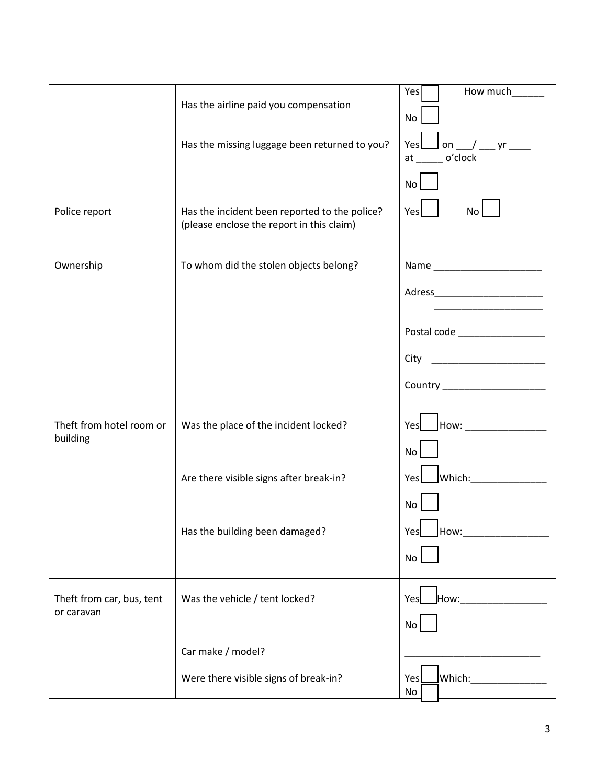|                           |                                                                                            | How much<br>Yes                                                         |
|---------------------------|--------------------------------------------------------------------------------------------|-------------------------------------------------------------------------|
|                           | Has the airline paid you compensation                                                      | No                                                                      |
|                           | Has the missing luggage been returned to you?                                              | $\sqrt{2}$ on $\sqrt{2}$ yr $\frac{1}{2}$<br>Yes<br>o'clock<br>at<br>No |
|                           |                                                                                            |                                                                         |
| Police report             | Has the incident been reported to the police?<br>(please enclose the report in this claim) | Yes<br>No I                                                             |
| Ownership                 | To whom did the stolen objects belong?                                                     |                                                                         |
|                           |                                                                                            |                                                                         |
|                           |                                                                                            | Postal code <b>Manufacturer</b>                                         |
|                           |                                                                                            | City ________________________                                           |
|                           |                                                                                            | Country _____________________                                           |
| Theft from hotel room or  | Was the place of the incident locked?                                                      | How: _________________<br>Yesl                                          |
| building                  |                                                                                            | No                                                                      |
|                           | Are there visible signs after break-in?                                                    | $\blacksquare$ Which: $\blacksquare$<br>Yes                             |
|                           |                                                                                            | No                                                                      |
|                           | Has the building been damaged?                                                             | How:_<br>Yes<br>No                                                      |
|                           |                                                                                            |                                                                         |
| Theft from car, bus, tent | Was the vehicle / tent locked?                                                             | Yesl                                                                    |
| or caravan                |                                                                                            | No                                                                      |
|                           | Car make / model?                                                                          |                                                                         |
|                           | Were there visible signs of break-in?                                                      | Which:_________________<br>Yes<br>No                                    |
|                           |                                                                                            |                                                                         |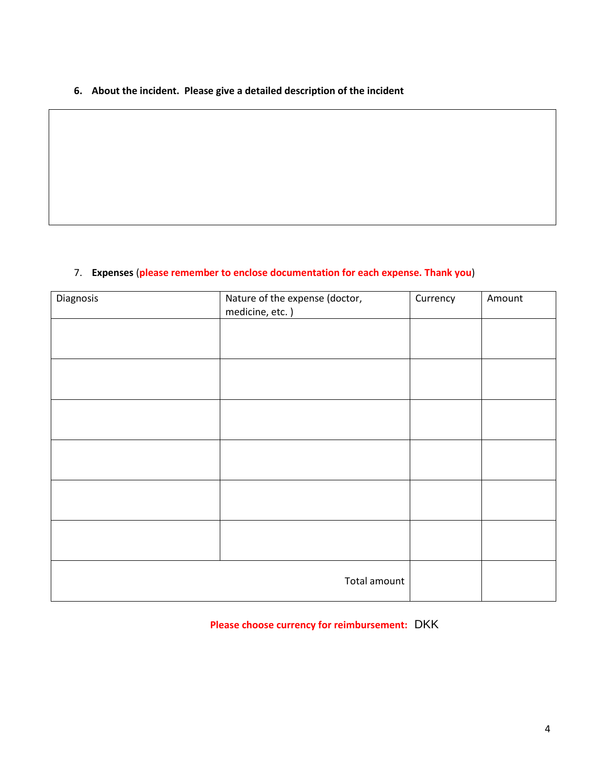**6. About the incident. Please give a detailed description of the incident**

## 7. **Expenses** (**please remember to enclose documentation for each expense. Thank you**)

| Diagnosis | Nature of the expense (doctor,<br>medicine, etc.) | Currency | Amount |
|-----------|---------------------------------------------------|----------|--------|
|           |                                                   |          |        |
|           |                                                   |          |        |
|           |                                                   |          |        |
|           |                                                   |          |        |
|           |                                                   |          |        |
|           |                                                   |          |        |
|           | Total amount                                      |          |        |

**Please choose currency for reimbursement:** DKK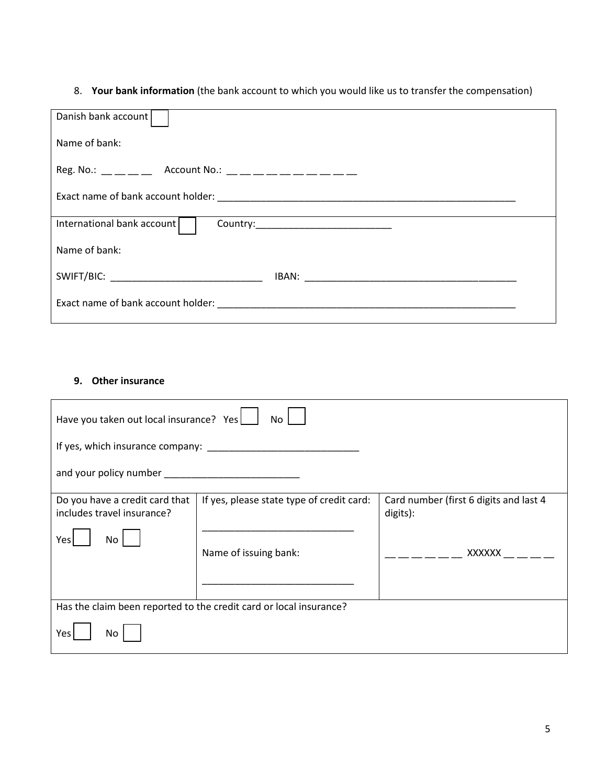# 8. **Your bank information** (the bank account to which you would like us to transfer the compensation)

| Danish bank account                                                                                                                                                                                                                                                                                            |
|----------------------------------------------------------------------------------------------------------------------------------------------------------------------------------------------------------------------------------------------------------------------------------------------------------------|
| Name of bank:                                                                                                                                                                                                                                                                                                  |
| Reg. No.: $\frac{1}{1}$ $\frac{1}{1}$ $\frac{1}{1}$ Account No.: $\frac{1}{1}$ $\frac{1}{1}$ $\frac{1}{1}$ $\frac{1}{1}$ $\frac{1}{1}$ $\frac{1}{1}$ $\frac{1}{1}$ $\frac{1}{1}$ $\frac{1}{1}$ $\frac{1}{1}$ $\frac{1}{1}$ $\frac{1}{1}$ $\frac{1}{1}$ $\frac{1}{1}$ $\frac{1}{1}$ $\frac{1}{1}$ $\frac{1}{1}$ |
|                                                                                                                                                                                                                                                                                                                |
| International bank account                                                                                                                                                                                                                                                                                     |
| Name of bank:                                                                                                                                                                                                                                                                                                  |
| SWIFT/BIC: ________________________________                                                                                                                                                                                                                                                                    |
|                                                                                                                                                                                                                                                                                                                |

## **9. Other insurance**

| Have you taken out local insurance? Yes<br>No                                                                                                                                                                                        |                                           |                                                    |  |  |  |
|--------------------------------------------------------------------------------------------------------------------------------------------------------------------------------------------------------------------------------------|-------------------------------------------|----------------------------------------------------|--|--|--|
|                                                                                                                                                                                                                                      |                                           |                                                    |  |  |  |
| and your policy number <b>example the set of the set of the set of the set of the set of the set of the set of the set of the set of the set of the set of the set of the set of the set of the set of the set of the set of the</b> |                                           |                                                    |  |  |  |
| Do you have a credit card that<br>includes travel insurance?                                                                                                                                                                         | If yes, please state type of credit card: | Card number (first 6 digits and last 4<br>digits): |  |  |  |
| Yesl<br>No.                                                                                                                                                                                                                          | Name of issuing bank:                     | XXXXXX                                             |  |  |  |
|                                                                                                                                                                                                                                      |                                           |                                                    |  |  |  |
| Has the claim been reported to the credit card or local insurance?                                                                                                                                                                   |                                           |                                                    |  |  |  |
| Yes<br>No                                                                                                                                                                                                                            |                                           |                                                    |  |  |  |